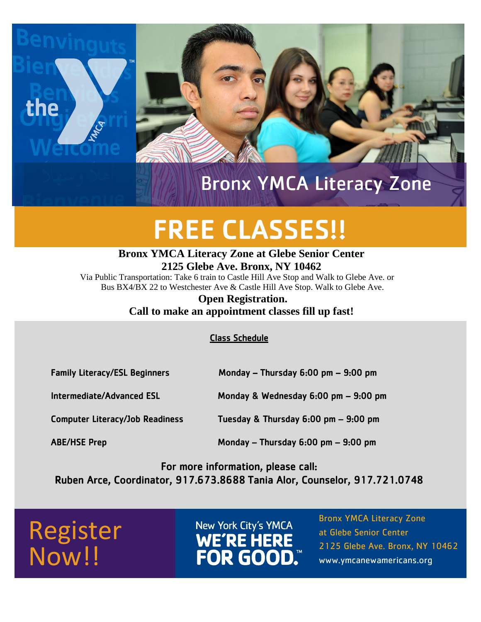

### Bronx YMCA Literacy Zone

# FREE CLASSES!!

#### **Bronx YMCA Literacy Zone at Glebe Senior Center 2125 Glebe Ave. Bronx, NY 10462**

Via Public Transportation: Take 6 train to Castle Hill Ave Stop and Walk to Glebe Ave. or Bus BX4/BX 22 to Westchester Ave & Castle Hill Ave Stop. Walk to Glebe Ave.

#### **Open Registration. Call to make an appointment classes fill up fast!**

Class Schedule

| <b>Family Literacy/ESL Beginners</b>   | Monday - Thursday $6:00$ pm - $9:00$ pm  |
|----------------------------------------|------------------------------------------|
| <b>Intermediate/Advanced ESL</b>       | Monday & Wednesday 6:00 pm - 9:00 pm     |
| <b>Computer Literacy/Job Readiness</b> | Tuesday & Thursday $6:00$ pm $-$ 9:00 pm |
| <b>ABE/HSE Prep</b>                    | Monday $-$ Thursday 6:00 pm $-$ 9:00 pm  |

For more information, please call: Ruben Arce, Coordinator, 917.673.8688 Tania Alor, Counselor, 917.721.0748

## Register Now!!

New York City's YMCA WE'RE HERE<br>FOR GOOD. Bronx YMCA Literacy Zone at Glebe Senior Center 2125 Glebe Ave. Bronx, NY 10462 www.ymcanewamericans.org